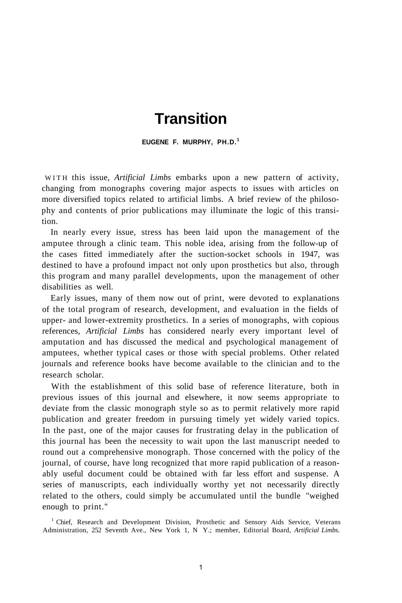## **Transition**

**EUGENE F. MURPHY, PH.D.<sup>1</sup>**

WIT H this issue, *Artificial Limbs* embarks upon a new pattern of activity, changing from monographs covering major aspects to issues with articles on more diversified topics related to artificial limbs. A brief review of the philosophy and contents of prior publications may illuminate the logic of this transition.

In nearly every issue, stress has been laid upon the management of the amputee through a clinic team. This noble idea, arising from the follow-up of the cases fitted immediately after the suction-socket schools in 1947, was destined to have a profound impact not only upon prosthetics but also, through this program and many parallel developments, upon the management of other disabilities as well.

Early issues, many of them now out of print, were devoted to explanations of the total program of research, development, and evaluation in the fields of upper- and lower-extremity prosthetics. In a series of monographs, with copious references, *Artificial Limbs* has considered nearly every important level of amputation and has discussed the medical and psychological management of amputees, whether typical cases or those with special problems. Other related journals and reference books have become available to the clinician and to the research scholar.

With the establishment of this solid base of reference literature, both in previous issues of this journal and elsewhere, it now seems appropriate to deviate from the classic monograph style so as to permit relatively more rapid publication and greater freedom in pursuing timely yet widely varied topics. In the past, one of the major causes for frustrating delay in the publication of this journal has been the necessity to wait upon the last manuscript needed to round out a comprehensive monograph. Those concerned with the policy of the journal, of course, have long recognized that more rapid publication of a reasonably useful document could be obtained with far less effort and suspense. A series of manuscripts, each individually worthy yet not necessarily directly related to the others, could simply be accumulated until the bundle "weighed enough to print."

<sup>1</sup> Chief, Research and Development Division, Prosthetic and Sensory Aids Service, Veterans Administration, 252 Seventh Ave., New York 1, N Y.; member, Editorial Board, *Artificial Limbs.*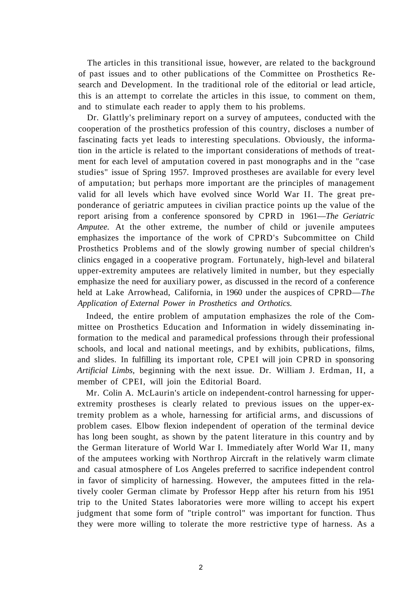The articles in this transitional issue, however, are related to the background of past issues and to other publications of the Committee on Prosthetics Research and Development. In the traditional role of the editorial or lead article, this is an attempt to correlate the articles in this issue, to comment on them, and to stimulate each reader to apply them to his problems.

Dr. Glattly's preliminary report on a survey of amputees, conducted with the cooperation of the prosthetics profession of this country, discloses a number of fascinating facts yet leads to interesting speculations. Obviously, the information in the article is related to the important considerations of methods of treatment for each level of amputation covered in past monographs and in the "case studies" issue of Spring 1957. Improved prostheses are available for every level of amputation; but perhaps more important are the principles of management valid for all levels which have evolved since World War II. The great preponderance of geriatric amputees in civilian practice points up the value of the report arising from a conference sponsored by CPRD in 1961—*The Geriatric Amputee.* At the other extreme, the number of child or juvenile amputees emphasizes the importance of the work of CPRD's Subcommittee on Child Prosthetics Problems and of the slowly growing number of special children's clinics engaged in a cooperative program. Fortunately, high-level and bilateral upper-extremity amputees are relatively limited in number, but they especially emphasize the need for auxiliary power, as discussed in the record of a conference held at Lake Arrowhead, California, in 1960 under the auspices of CPRD—*The Application of External Power in Prosthetics and Orthotics.* 

Indeed, the entire problem of amputation emphasizes the role of the Committee on Prosthetics Education and Information in widely disseminating information to the medical and paramedical professions through their professional schools, and local and national meetings, and by exhibits, publications, films, and slides. In fulfilling its important role, CPEI will join CPRD in sponsoring *Artificial Limbs,* beginning with the next issue. Dr. William J. Erdman, II, a member of CPEI, will join the Editorial Board.

Mr. Colin A. McLaurin's article on independent-control harnessing for upperextremity prostheses is clearly related to previous issues on the upper-extremity problem as a whole, harnessing for artificial arms, and discussions of problem cases. Elbow flexion independent of operation of the terminal device has long been sought, as shown by the patent literature in this country and by the German literature of World War I. Immediately after World War II, many of the amputees working with Northrop Aircraft in the relatively warm climate and casual atmosphere of Los Angeles preferred to sacrifice independent control in favor of simplicity of harnessing. However, the amputees fitted in the relatively cooler German climate by Professor Hepp after his return from his 1951 trip to the United States laboratories were more willing to accept his expert judgment that some form of "triple control" was important for function. Thus they were more willing to tolerate the more restrictive type of harness. As a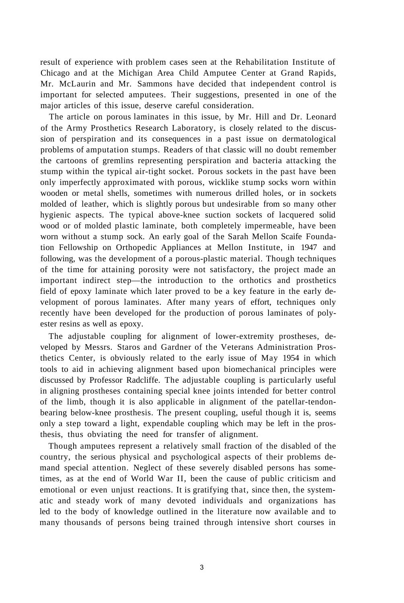result of experience with problem cases seen at the Rehabilitation Institute of Chicago and at the Michigan Area Child Amputee Center at Grand Rapids, Mr. McLaurin and Mr. Sammons have decided that independent control is important for selected amputees. Their suggestions, presented in one of the major articles of this issue, deserve careful consideration.

The article on porous laminates in this issue, by Mr. Hill and Dr. Leonard of the Army Prosthetics Research Laboratory, is closely related to the discussion of perspiration and its consequences in a past issue on dermatological problems of amputation stumps. Readers of that classic will no doubt remember the cartoons of gremlins representing perspiration and bacteria attacking the stump within the typical air-tight socket. Porous sockets in the past have been only imperfectly approximated with porous, wicklike stump socks worn within wooden or metal shells, sometimes with numerous drilled holes, or in sockets molded of leather, which is slightly porous but undesirable from so many other hygienic aspects. The typical above-knee suction sockets of lacquered solid wood or of molded plastic laminate, both completely impermeable, have been worn without a stump sock. An early goal of the Sarah Mellon Scaife Foundation Fellowship on Orthopedic Appliances at Mellon Institute, in 1947 and following, was the development of a porous-plastic material. Though techniques of the time for attaining porosity were not satisfactory, the project made an important indirect step—the introduction to the orthotics and prosthetics field of epoxy laminate which later proved to be a key feature in the early development of porous laminates. After many years of effort, techniques only recently have been developed for the production of porous laminates of polyester resins as well as epoxy.

The adjustable coupling for alignment of lower-extremity prostheses, developed by Messrs. Staros and Gardner of the Veterans Administration Prosthetics Center, is obviously related to the early issue of May 1954 in which tools to aid in achieving alignment based upon biomechanical principles were discussed by Professor Radcliffe. The adjustable coupling is particularly useful in aligning prostheses containing special knee joints intended for better control of the limb, though it is also applicable in alignment of the patellar-tendonbearing below-knee prosthesis. The present coupling, useful though it is, seems only a step toward a light, expendable coupling which may be left in the prosthesis, thus obviating the need for transfer of alignment.

Though amputees represent a relatively small fraction of the disabled of the country, the serious physical and psychological aspects of their problems demand special attention. Neglect of these severely disabled persons has sometimes, as at the end of World War II, been the cause of public criticism and emotional or even unjust reactions. It is gratifying that, since then, the systematic and steady work of many devoted individuals and organizations has led to the body of knowledge outlined in the literature now available and to many thousands of persons being trained through intensive short courses in